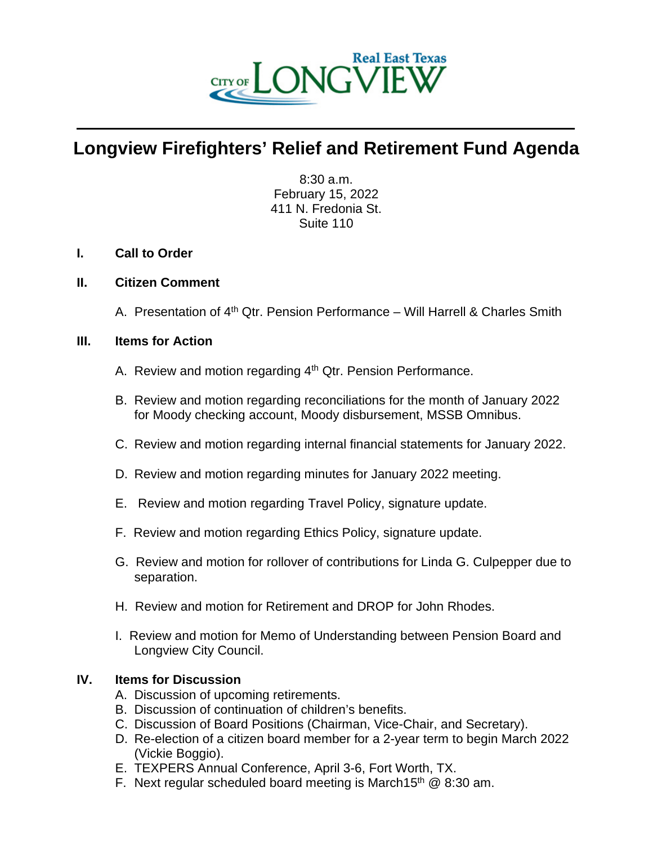

# **Longview Firefighters' Relief and Retirement Fund Agenda**

 $\mathcal{L} = \{ \mathcal{L} \mathcal{L} \mathcal{L} \mathcal{L} \mathcal{L} \mathcal{L} \mathcal{L} \mathcal{L} \mathcal{L} \mathcal{L} \mathcal{L} \mathcal{L} \mathcal{L} \mathcal{L} \mathcal{L} \mathcal{L} \mathcal{L} \mathcal{L} \mathcal{L} \mathcal{L} \mathcal{L} \mathcal{L} \mathcal{L} \mathcal{L} \mathcal{L} \mathcal{L} \mathcal{L} \mathcal{L} \mathcal{L} \mathcal{L} \mathcal{L} \mathcal{L} \mathcal{L} \mathcal{L} \mathcal{L} \$ 

8:30 a.m. February 15, 2022 411 N. Fredonia St. Suite 110

## **I. Call to Order**

### **II. Citizen Comment**

A. Presentation of  $4<sup>th</sup>$  Qtr. Pension Performance – Will Harrell & Charles Smith

### **III. Items for Action**

- A. Review and motion regarding 4<sup>th</sup> Qtr. Pension Performance.
- B. Review and motion regarding reconciliations for the month of January 2022 for Moody checking account, Moody disbursement, MSSB Omnibus.
- C. Review and motion regarding internal financial statements for January 2022.
- D. Review and motion regarding minutes for January 2022 meeting.
- E. Review and motion regarding Travel Policy, signature update.
- F. Review and motion regarding Ethics Policy, signature update.
- G. Review and motion for rollover of contributions for Linda G. Culpepper due to separation.
- H. Review and motion for Retirement and DROP for John Rhodes.
- I. Review and motion for Memo of Understanding between Pension Board and Longview City Council.

## **IV. Items for Discussion**

- A. Discussion of upcoming retirements.
- B. Discussion of continuation of children's benefits.
- C. Discussion of Board Positions (Chairman, Vice-Chair, and Secretary).
- D. Re-election of a citizen board member for a 2-year term to begin March 2022 (Vickie Boggio).
- E. TEXPERS Annual Conference, April 3-6, Fort Worth, TX.
- F. Next regular scheduled board meeting is March15<sup>th</sup>  $@8:30$  am.